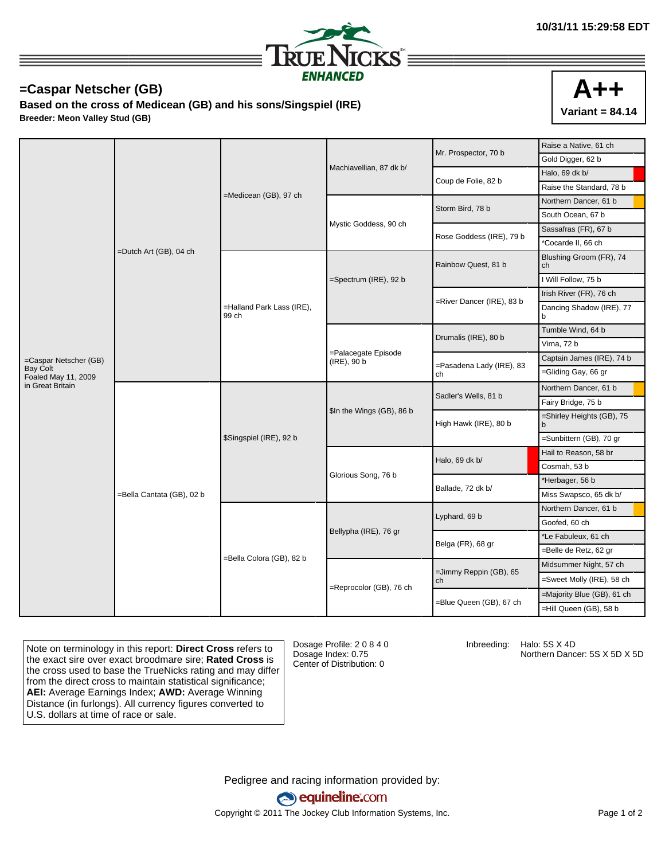

## **=Caspar Netscher (GB)**

**Based on the cross of Medicean (GB) and his sons/Singspiel (IRE) Breeder: Meon Valley Stud (GB)**



| Gold Digger, 62 b<br>Machiavellian, 87 dk b/<br>Halo, 69 dk b/<br>Coup de Folie, 82 b<br>Raise the Standard, 78 b<br>=Medicean (GB), 97 ch<br>Northern Dancer, 61 b<br>Storm Bird, 78 b<br>South Ocean, 67 b<br>Mystic Goddess, 90 ch<br>Sassafras (FR), 67 b<br>Rose Goddess (IRE), 79 b<br>*Cocarde II, 66 ch<br>=Dutch Art (GB), 04 ch<br>Blushing Groom (FR), 74<br>Rainbow Quest, 81 b<br>ch<br>I Will Follow, 75 b<br>=Spectrum (IRE), 92 b<br>Irish River (FR), 76 ch<br>=River Dancer (IRE), 83 b<br>=Halland Park Lass (IRE),<br>Dancing Shadow (IRE), 77<br>99 ch<br>b<br>Tumble Wind, 64 b<br>Drumalis (IRE), 80 b<br>Virna, 72 b<br>=Palacegate Episode<br>Captain James (IRE), 74 b<br>=Caspar Netscher (GB)<br>(IRE), 90 b<br>=Pasadena Lady (IRE), 83<br>Bay Colt<br>=Gliding Gay, 66 gr<br>ch<br>Foaled May 11, 2009<br>in Great Britain<br>Northern Dancer, 61 b<br>Sadler's Wells, 81 b<br>Fairy Bridge, 75 b<br>\$In the Wings (GB), 86 b<br>=Shirley Heights (GB), 75<br>High Hawk (IRE), 80 b<br>b<br>=Sunbittern (GB), 70 gr<br>\$Singspiel (IRE), 92 b<br>Hail to Reason, 58 br<br>Halo, 69 dk b/<br>Cosmah, 53 b<br>Glorious Song, 76 b<br>*Herbager, 56 b<br>Ballade, 72 dk b/<br>=Bella Cantata (GB), 02 b<br>Miss Swapsco, 65 dk b/<br>Northern Dancer, 61 b<br>Lyphard, 69 b<br>Goofed, 60 ch<br>Bellypha (IRE), 76 gr<br>*Le Fabuleux, 61 ch<br>Belga (FR), 68 gr<br>Belle de Retz, 62 gr<br>=Bella Colora (GB), 82 b<br>Midsummer Night, 57 ch<br>=Jimmy Reppin (GB), 65<br>=Sweet Molly (IRE), 58 ch<br>ch<br>=Reprocolor (GB), 76 ch<br>=Majority Blue (GB), 61 ch<br>=Blue Queen (GB), 67 ch<br>-Hill Queen (GB), 58 b |  |  |  |  | Mr. Prospector, 70 b | Raise a Native, 61 ch |
|---------------------------------------------------------------------------------------------------------------------------------------------------------------------------------------------------------------------------------------------------------------------------------------------------------------------------------------------------------------------------------------------------------------------------------------------------------------------------------------------------------------------------------------------------------------------------------------------------------------------------------------------------------------------------------------------------------------------------------------------------------------------------------------------------------------------------------------------------------------------------------------------------------------------------------------------------------------------------------------------------------------------------------------------------------------------------------------------------------------------------------------------------------------------------------------------------------------------------------------------------------------------------------------------------------------------------------------------------------------------------------------------------------------------------------------------------------------------------------------------------------------------------------------------------------------------------------------------------------------------------------------------------------|--|--|--|--|----------------------|-----------------------|
|                                                                                                                                                                                                                                                                                                                                                                                                                                                                                                                                                                                                                                                                                                                                                                                                                                                                                                                                                                                                                                                                                                                                                                                                                                                                                                                                                                                                                                                                                                                                                                                                                                                         |  |  |  |  |                      |                       |
|                                                                                                                                                                                                                                                                                                                                                                                                                                                                                                                                                                                                                                                                                                                                                                                                                                                                                                                                                                                                                                                                                                                                                                                                                                                                                                                                                                                                                                                                                                                                                                                                                                                         |  |  |  |  |                      |                       |
|                                                                                                                                                                                                                                                                                                                                                                                                                                                                                                                                                                                                                                                                                                                                                                                                                                                                                                                                                                                                                                                                                                                                                                                                                                                                                                                                                                                                                                                                                                                                                                                                                                                         |  |  |  |  |                      |                       |
|                                                                                                                                                                                                                                                                                                                                                                                                                                                                                                                                                                                                                                                                                                                                                                                                                                                                                                                                                                                                                                                                                                                                                                                                                                                                                                                                                                                                                                                                                                                                                                                                                                                         |  |  |  |  |                      |                       |
|                                                                                                                                                                                                                                                                                                                                                                                                                                                                                                                                                                                                                                                                                                                                                                                                                                                                                                                                                                                                                                                                                                                                                                                                                                                                                                                                                                                                                                                                                                                                                                                                                                                         |  |  |  |  |                      |                       |
|                                                                                                                                                                                                                                                                                                                                                                                                                                                                                                                                                                                                                                                                                                                                                                                                                                                                                                                                                                                                                                                                                                                                                                                                                                                                                                                                                                                                                                                                                                                                                                                                                                                         |  |  |  |  |                      |                       |
|                                                                                                                                                                                                                                                                                                                                                                                                                                                                                                                                                                                                                                                                                                                                                                                                                                                                                                                                                                                                                                                                                                                                                                                                                                                                                                                                                                                                                                                                                                                                                                                                                                                         |  |  |  |  |                      |                       |
|                                                                                                                                                                                                                                                                                                                                                                                                                                                                                                                                                                                                                                                                                                                                                                                                                                                                                                                                                                                                                                                                                                                                                                                                                                                                                                                                                                                                                                                                                                                                                                                                                                                         |  |  |  |  |                      |                       |
|                                                                                                                                                                                                                                                                                                                                                                                                                                                                                                                                                                                                                                                                                                                                                                                                                                                                                                                                                                                                                                                                                                                                                                                                                                                                                                                                                                                                                                                                                                                                                                                                                                                         |  |  |  |  |                      |                       |
|                                                                                                                                                                                                                                                                                                                                                                                                                                                                                                                                                                                                                                                                                                                                                                                                                                                                                                                                                                                                                                                                                                                                                                                                                                                                                                                                                                                                                                                                                                                                                                                                                                                         |  |  |  |  |                      |                       |
|                                                                                                                                                                                                                                                                                                                                                                                                                                                                                                                                                                                                                                                                                                                                                                                                                                                                                                                                                                                                                                                                                                                                                                                                                                                                                                                                                                                                                                                                                                                                                                                                                                                         |  |  |  |  |                      |                       |
|                                                                                                                                                                                                                                                                                                                                                                                                                                                                                                                                                                                                                                                                                                                                                                                                                                                                                                                                                                                                                                                                                                                                                                                                                                                                                                                                                                                                                                                                                                                                                                                                                                                         |  |  |  |  |                      |                       |
|                                                                                                                                                                                                                                                                                                                                                                                                                                                                                                                                                                                                                                                                                                                                                                                                                                                                                                                                                                                                                                                                                                                                                                                                                                                                                                                                                                                                                                                                                                                                                                                                                                                         |  |  |  |  |                      |                       |
|                                                                                                                                                                                                                                                                                                                                                                                                                                                                                                                                                                                                                                                                                                                                                                                                                                                                                                                                                                                                                                                                                                                                                                                                                                                                                                                                                                                                                                                                                                                                                                                                                                                         |  |  |  |  |                      |                       |
|                                                                                                                                                                                                                                                                                                                                                                                                                                                                                                                                                                                                                                                                                                                                                                                                                                                                                                                                                                                                                                                                                                                                                                                                                                                                                                                                                                                                                                                                                                                                                                                                                                                         |  |  |  |  |                      |                       |
|                                                                                                                                                                                                                                                                                                                                                                                                                                                                                                                                                                                                                                                                                                                                                                                                                                                                                                                                                                                                                                                                                                                                                                                                                                                                                                                                                                                                                                                                                                                                                                                                                                                         |  |  |  |  |                      |                       |
|                                                                                                                                                                                                                                                                                                                                                                                                                                                                                                                                                                                                                                                                                                                                                                                                                                                                                                                                                                                                                                                                                                                                                                                                                                                                                                                                                                                                                                                                                                                                                                                                                                                         |  |  |  |  |                      |                       |
|                                                                                                                                                                                                                                                                                                                                                                                                                                                                                                                                                                                                                                                                                                                                                                                                                                                                                                                                                                                                                                                                                                                                                                                                                                                                                                                                                                                                                                                                                                                                                                                                                                                         |  |  |  |  |                      |                       |
|                                                                                                                                                                                                                                                                                                                                                                                                                                                                                                                                                                                                                                                                                                                                                                                                                                                                                                                                                                                                                                                                                                                                                                                                                                                                                                                                                                                                                                                                                                                                                                                                                                                         |  |  |  |  |                      |                       |
|                                                                                                                                                                                                                                                                                                                                                                                                                                                                                                                                                                                                                                                                                                                                                                                                                                                                                                                                                                                                                                                                                                                                                                                                                                                                                                                                                                                                                                                                                                                                                                                                                                                         |  |  |  |  |                      |                       |
|                                                                                                                                                                                                                                                                                                                                                                                                                                                                                                                                                                                                                                                                                                                                                                                                                                                                                                                                                                                                                                                                                                                                                                                                                                                                                                                                                                                                                                                                                                                                                                                                                                                         |  |  |  |  |                      |                       |
|                                                                                                                                                                                                                                                                                                                                                                                                                                                                                                                                                                                                                                                                                                                                                                                                                                                                                                                                                                                                                                                                                                                                                                                                                                                                                                                                                                                                                                                                                                                                                                                                                                                         |  |  |  |  |                      |                       |
|                                                                                                                                                                                                                                                                                                                                                                                                                                                                                                                                                                                                                                                                                                                                                                                                                                                                                                                                                                                                                                                                                                                                                                                                                                                                                                                                                                                                                                                                                                                                                                                                                                                         |  |  |  |  |                      |                       |
|                                                                                                                                                                                                                                                                                                                                                                                                                                                                                                                                                                                                                                                                                                                                                                                                                                                                                                                                                                                                                                                                                                                                                                                                                                                                                                                                                                                                                                                                                                                                                                                                                                                         |  |  |  |  |                      |                       |
|                                                                                                                                                                                                                                                                                                                                                                                                                                                                                                                                                                                                                                                                                                                                                                                                                                                                                                                                                                                                                                                                                                                                                                                                                                                                                                                                                                                                                                                                                                                                                                                                                                                         |  |  |  |  |                      |                       |
|                                                                                                                                                                                                                                                                                                                                                                                                                                                                                                                                                                                                                                                                                                                                                                                                                                                                                                                                                                                                                                                                                                                                                                                                                                                                                                                                                                                                                                                                                                                                                                                                                                                         |  |  |  |  |                      |                       |
|                                                                                                                                                                                                                                                                                                                                                                                                                                                                                                                                                                                                                                                                                                                                                                                                                                                                                                                                                                                                                                                                                                                                                                                                                                                                                                                                                                                                                                                                                                                                                                                                                                                         |  |  |  |  |                      |                       |
|                                                                                                                                                                                                                                                                                                                                                                                                                                                                                                                                                                                                                                                                                                                                                                                                                                                                                                                                                                                                                                                                                                                                                                                                                                                                                                                                                                                                                                                                                                                                                                                                                                                         |  |  |  |  |                      |                       |
|                                                                                                                                                                                                                                                                                                                                                                                                                                                                                                                                                                                                                                                                                                                                                                                                                                                                                                                                                                                                                                                                                                                                                                                                                                                                                                                                                                                                                                                                                                                                                                                                                                                         |  |  |  |  |                      |                       |
|                                                                                                                                                                                                                                                                                                                                                                                                                                                                                                                                                                                                                                                                                                                                                                                                                                                                                                                                                                                                                                                                                                                                                                                                                                                                                                                                                                                                                                                                                                                                                                                                                                                         |  |  |  |  |                      |                       |
|                                                                                                                                                                                                                                                                                                                                                                                                                                                                                                                                                                                                                                                                                                                                                                                                                                                                                                                                                                                                                                                                                                                                                                                                                                                                                                                                                                                                                                                                                                                                                                                                                                                         |  |  |  |  |                      |                       |

Note on terminology in this report: **Direct Cross** refers to the exact sire over exact broodmare sire; **Rated Cross** is the cross used to base the TrueNicks rating and may differ from the direct cross to maintain statistical significance; **AEI:** Average Earnings Index; **AWD:** Average Winning Distance (in furlongs). All currency figures converted to U.S. dollars at time of race or sale.

Dosage Profile: 2 0 8 4 0 Dosage Index: 0.75 Center of Distribution: 0

Inbreeding: Halo: 5S X 4D

Northern Dancer: 5S X 5D X 5D